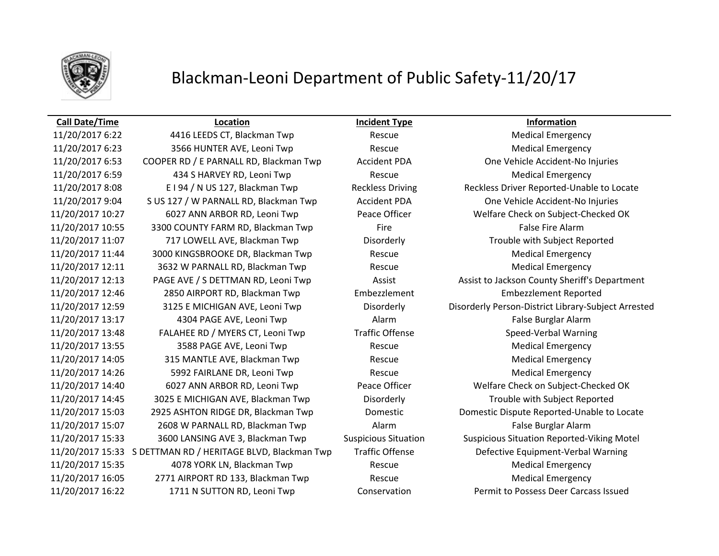

### Blackman-Leoni Department of Public Safety-11/20/17

### **Call Date/Time Location Incident Type Information**

11/20/2017 6:22 4416 LEEDS CT, Blackman Twp Rescue Medical Emergency 11/20/2017 6:23 3566 HUNTER AVE, Leoni Twp Rescue Rescue Medical Emergency 11/20/2017 6:53 COOPER RD / E PARNALL RD, Blackman Twp Accident PDA One Vehicle Accident-No Injuries 11/20/2017 6:59 434 S HARVEY RD, Leoni Twp Rescue Rescue Medical Emergency 11/20/2017 8:08 E I 94 / N US 127, Blackman Twp Reckless Driving Reckless Driver Reported-Unable to Locate 11/20/2017 9:04 S US 127 / W PARNALL RD, Blackman Twp Accident PDA One Vehicle Accident-No Injuries 11/20/2017 10:27 6027 ANN ARBOR RD, Leoni Twp Peace Officer Welfare Check on Subject-Checked OK 11/20/2017 10:55 3300 COUNTY FARM RD, Blackman Twp Fire Fire Fire False Fire Alarm 11/20/2017 11:07 717 LOWELL AVE, Blackman Twp Disorderly Trouble with Subject Reported 11/20/2017 11:44 3000 KINGSBROOKE DR, Blackman Twp Rescue Medical Emergency 11/20/2017 12:11 13632 W PARNALL RD, Blackman Twp Rescue Rescue Medical Emergency 11/20/2017 12:46 2850 AIRPORT RD, Blackman Twp Embezzlement Embezzlement Reported 11/20/2017 13:17 4304 PAGE AVE, Leoni Twp Alarm False Burglar Alarm 11/20/2017 13:48 FALAHEE RD / MYERS CT, Leoni Twp Traffic Offense Speed-Verbal Warning 11/20/2017 13:55 3588 PAGE AVE, Leoni Twp Rescue Rescue Medical Emergency 11/20/2017 14:05 315 MANTLE AVE, Blackman Twp Rescue Medical Emergency 11/20/2017 14:26 5992 FAIRLANE DR, Leoni Twp Rescue Rescue Medical Emergency 11/20/2017 14:40 6027 ANN ARBOR RD, Leoni Twp Peace Officer Welfare Check on Subject-Checked OK 11/20/2017 14:45 3025 E MICHIGAN AVE, Blackman Twp Disorderly Trouble with Subject Reported 11/20/2017 15:03 2925 ASHTON RIDGE DR, Blackman Twp Domestic Domestic Dispute Reported-Unable to Locate 11/20/2017 15:07 2608 W PARNALL RD, Blackman Twp Alarm False Burglar Alarm 11/20/2017 15:33 3600 LANSING AVE 3, Blackman Twp Suspicious Situation Suspicious Situation Reported-Viking Motel 11/20/2017 15:33 S DETTMAN RD / HERITAGE BLVD, Blackman Twp Traffic Offense Defective Equipment-Verbal Warning 11/20/2017 15:35 4078 YORK LN, Blackman Twp Rescue Medical Emergency 11/20/2017 16:05 2771 AIRPORT RD 133, Blackman Twp Rescue Rescue Medical Emergency 11/20/2017 16:22 1711 N SUTTON RD, Leoni Twp Conservation Permit to Possess Deer Carcass Issued

11/20/2017 12:13 PAGE AVE / S DETTMAN RD, Leoni Twp Assist Assist to Jackson County Sheriff's Department 11/20/2017 12:59 3125 E MICHIGAN AVE, Leoni Twp Disorderly Disorderly Person-District Library-Subject Arrested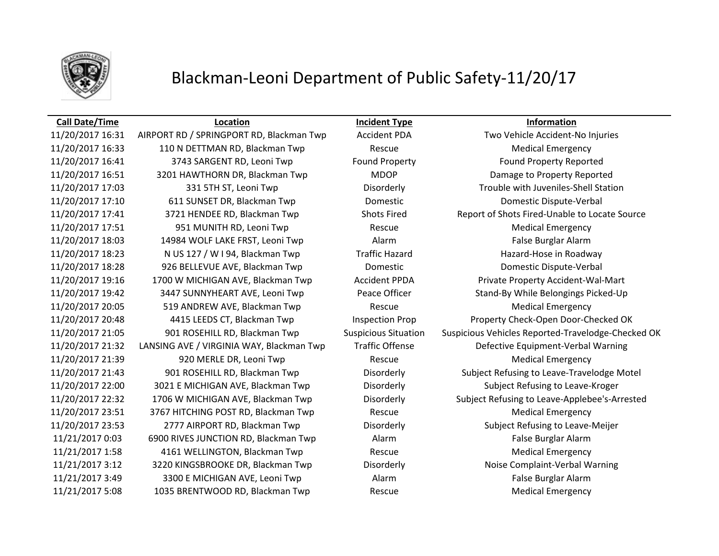

## Blackman-Leoni Department of Public Safety-11/20/17

11/20/2017 16:33 110 N DETTMAN RD, Blackman Twp Rescue Medical Emergency 11/20/2017 16:41 3743 SARGENT RD, Leoni Twp Found Property Found Property Reported 11/20/2017 16:51 3201 HAWTHORN DR, Blackman Twp MDOP Damage to Property Reported 11/20/2017 17:03 331 5TH ST, Leoni Twp Disorderly Trouble with Juveniles-Shell Station 11/20/2017 17:10 611 SUNSET DR, Blackman Twp Domestic Domestic Dispute-Verbal 11/20/2017 17:51 951 MUNITH RD, Leoni Twp Rescue Rescue Medical Emergency 11/20/2017 18:03 14984 WOLF LAKE FRST, Leoni Twp Alarm Alarm False Burglar Alarm 11/20/2017 18:23 N US 127 / W I 94, Blackman Twp Traffic Hazard Hazard-Hose in Roadway 11/20/2017 18:28 926 BELLEVUE AVE, Blackman Twp Domestic Domestic Dispute-Verbal 11/20/2017 19:16 1700 W MICHIGAN AVE, Blackman Twp Accident PPDA Private Property Accident-Wal-Mart 11/20/2017 19:42 3447 SUNNYHEART AVE, Leoni Twp Peace Officer Stand-By While Belongings Picked-Up 11/20/2017 20:05 519 ANDREW AVE, Blackman Twp Rescue Rescue Medical Emergency 11/20/2017 21:32 LANSING AVE / VIRGINIA WAY, Blackman Twp Traffic Offense Defective Equipment-Verbal Warning 11/20/2017 21:39 920 MERLE DR, Leoni Twp Rescue Rescue Medical Emergency 11/20/2017 22:00 3021 E MICHIGAN AVE, Blackman Twp Disorderly Subject Refusing to Leave-Kroger 11/20/2017 23:51 3767 HITCHING POST RD, Blackman Twp Rescue Rescue Medical Emergency 11/20/2017 23:53 2777 AIRPORT RD, Blackman Twp Disorderly Subject Refusing to Leave-Meijer 11/21/2017 0:03 6900 RIVES JUNCTION RD, Blackman Twp Alarm False Burglar Alarm 11/21/2017 1:58 4161 WELLINGTON, Blackman Twp Rescue Medical Emergency 11/21/2017 3:12 3220 KINGSBROOKE DR, Blackman Twp Disorderly Noise Complaint-Verbal Warning 11/21/2017 3:49 3300 E MICHIGAN AVE, Leoni Twp Alarm Alarm False Burglar Alarm 11/21/2017 5:08 1035 BRENTWOOD RD, Blackman Twp Rescue Medical Emergency

**Call Date/Time Location Incident Type Information**

11/20/2017 16:31 AIRPORT RD / SPRINGPORT RD, Blackman Twp Accident PDA Two Vehicle Accident-No Injuries 11/20/2017 17:41 3721 HENDEE RD, Blackman Twp Shots Fired Report of Shots Fired-Unable to Locate Source 11/20/2017 20:48 4415 LEEDS CT, Blackman Twp Inspection Prop Property Check-Open Door-Checked OK 11/20/2017 21:05 901 ROSEHILL RD, Blackman Twp Suspicious Situation Suspicious Vehicles Reported-Travelodge-Checked OK 11/20/2017 21:43 901 ROSEHILL RD, Blackman Twp Disorderly Subject Refusing to Leave-Travelodge Motel 11/20/2017 22:32 1706 W MICHIGAN AVE, Blackman Twp Disorderly Subject Refusing to Leave-Applebee's-Arrested